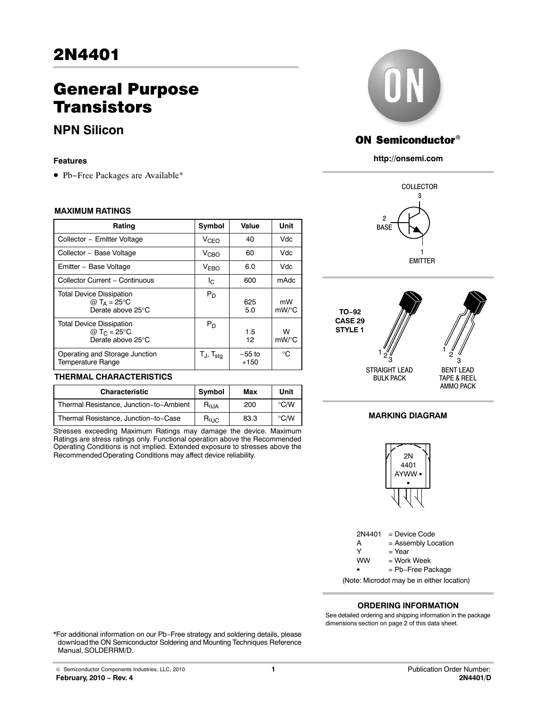# General Purpose **Transistors**

## **NPN Silicon**

#### **Features**

• Pb−Free Packages are Available\*

#### **MAXIMUM RATINGS**

| Rating                                                                          | Symbol                   | Value              | Unit           |
|---------------------------------------------------------------------------------|--------------------------|--------------------|----------------|
| Collector - Emitter Voltage                                                     | V <sub>CEO</sub>         | 40                 | Vdc            |
| Collector - Base Voltage                                                        | V <sub>CHO</sub>         | 60                 | Vdc            |
| Emitter - Base Voltage                                                          | <b>VEBO</b>              | 6.0                | Vdc            |
| Collector Current - Continuous                                                  | Ιc                       | 600                | mAdc           |
| <b>Total Device Dissipation</b><br>@ $T_A = 25$ °C<br>Derate above 25°C         | $P_D$                    | 625<br>5.0         | mW<br>$mW$ /°C |
| <b>Total Device Dissipation</b><br>@ T <sub>C</sub> = 25°C<br>Derate above 25°C | $P_D$                    | 1.5<br>12          | W<br>mW/°C     |
| Operating and Storage Junction<br><b>Temperature Range</b>                      | $T_J$ , $T_{\text{stg}}$ | $-55$ to<br>$+150$ | ി              |

#### **THERMAL CHARACTERISTICS**

| <b>Characteristic</b>                   | Symbol                  | Max  | Unit               |
|-----------------------------------------|-------------------------|------|--------------------|
| Thermal Resistance, Junction-to-Ambient | $R_{\theta, \text{JA}}$ | 200  | $\rm ^{\circ}$ C/W |
| Thermal Resistance, Junction-to-Case    | $R_{\theta \text{JC}}$  | 83.3 | $^{\circ}$ C/W     |

Stresses exceeding Maximum Ratings may damage the device. Maximum Ratings are stress ratings only. Functional operation above the Recommended Operating Conditions is not implied. Extended exposure to stresses above the Recommended Operating Conditions may affect device reliability.



## ON Semiconductor®

**http://onsemi.com**





#### **MARKING DIAGRAM**



2N4401 = Device Code  $A =$  Assembly Location<br>  $Y =$  Year  $=$  Year  $=$  Work Week ww = Pb−Free Package

(Note: Microdot may be in either location)

#### **ORDERING INFORMATION**

See detailed ordering and shipping information in the package dimensions section on page [2](#page-1-0) of this data sheet.

\*For additional information on our Pb−Free strategy and soldering details, please download the ON Semiconductor Soldering and Mounting Techniques Reference Manual, SOLDERRM/D.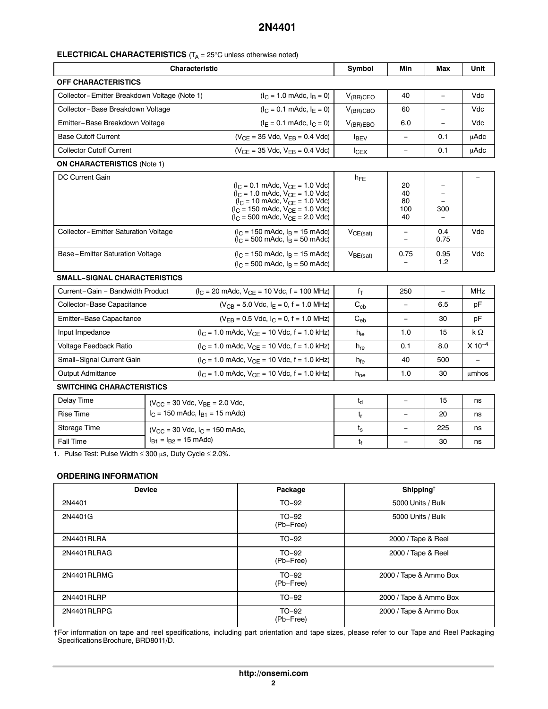### <span id="page-1-0"></span>**ELECTRICAL CHARACTERISTICS** (T<sub>A</sub> = 25°C unless otherwise noted)

| <b>Characteristic</b>                        |                                                                                          |                                                                                                                                                                                                                                                                                                         | Symbol                   | Min                                    | Max                      | Unit        |
|----------------------------------------------|------------------------------------------------------------------------------------------|---------------------------------------------------------------------------------------------------------------------------------------------------------------------------------------------------------------------------------------------------------------------------------------------------------|--------------------------|----------------------------------------|--------------------------|-------------|
| <b>OFF CHARACTERISTICS</b>                   |                                                                                          |                                                                                                                                                                                                                                                                                                         |                          |                                        |                          |             |
| Collector-Emitter Breakdown Voltage (Note 1) |                                                                                          | $(I_C = 1.0 \text{ m}$ Adc, $I_B = 0$ )                                                                                                                                                                                                                                                                 | $V_{(BR)CEO}$            | 40                                     | $\overline{\phantom{0}}$ | Vdc         |
| Collector-Base Breakdown Voltage             |                                                                                          | $(I_C = 0.1$ mAdc, $I_E = 0$ )                                                                                                                                                                                                                                                                          | $V_{(BR)CBO}$            | 60                                     | ÷,                       | Vdc         |
| Emitter-Base Breakdown Voltage               |                                                                                          | $(I_F = 0.1 \text{ m}$ Adc, $I_C = 0$ )                                                                                                                                                                                                                                                                 | $V_{(BR)EBO}$            | 6.0                                    | ÷,                       | Vdc         |
| <b>Base Cutoff Current</b>                   |                                                                                          | $(V_{CE} = 35$ Vdc, $V_{EB} = 0.4$ Vdc)                                                                                                                                                                                                                                                                 | $I_{BEV}$                | $\equiv$                               | 0.1                      | uAdc        |
| <b>Collector Cutoff Current</b>              |                                                                                          | $(V_{CE} = 35$ Vdc, $V_{EB} = 0.4$ Vdc)                                                                                                                                                                                                                                                                 | $I_{CEX}$                | L.                                     | 0.1                      | <b>µAdc</b> |
| <b>ON CHARACTERISTICS (Note 1)</b>           |                                                                                          |                                                                                                                                                                                                                                                                                                         |                          |                                        |                          |             |
| <b>DC Current Gain</b>                       |                                                                                          | $(I_C = 0.1 \text{ m}$ Adc, $V_{CE} = 1.0 \text{ V}$ dc)<br>$(I_C = 1.0 \text{ m}$ Adc, $V_{CE} = 1.0 \text{ V}$ dc)<br>$(I_C = 10 \text{ m}$ Adc, $V_{CE} = 1.0 \text{ V}$ dc)<br>$(I_C = 150 \text{ m}$ Adc, $V_{CE} = 1.0 \text{ V}$ dc)<br>$(I_C = 500 \text{ m}$ Adc, $V_{CE} = 2.0 \text{ V}$ dc) | $h_{FE}$                 | 20<br>40<br>80<br>100<br>40            | 300                      |             |
| Collector-Emitter Saturation Voltage         |                                                                                          | $(I_C = 150 \text{ m}$ Adc, $I_B = 15 \text{ m}$ Adc)<br>$(I_C = 500 \text{ m}$ Adc, $I_B = 50 \text{ m}$ Adc)                                                                                                                                                                                          | VCE(sat)                 | $\qquad \qquad -$<br>$\qquad \qquad =$ | 0.4<br>0.75              | Vdc         |
| Base-Emitter Saturation Voltage              |                                                                                          | $(I_C = 150 \text{ m}$ Adc, $I_B = 15 \text{ m}$ Adc)<br>$(I_C = 500 \text{ m}$ Adc, $I_B = 50 \text{ m}$ Adc)                                                                                                                                                                                          | $V_{BE(sat)}$            | 0.75                                   | 0.95<br>1.2              | Vdc         |
| <b>SMALL-SIGNAL CHARACTERISTICS</b>          |                                                                                          |                                                                                                                                                                                                                                                                                                         |                          |                                        |                          |             |
| Current-Gain - Bandwidth Product             |                                                                                          | $(I_C = 20 \text{ m}$ Adc, $V_{CE} = 10 \text{ Vdc}, f = 100 \text{ MHz}$                                                                                                                                                                                                                               | $f_T$                    | 250                                    | $\equiv$                 | <b>MHz</b>  |
| Collector-Base Capacitance                   |                                                                                          | $(V_{CB} = 5.0$ Vdc, $I_E = 0$ , f = 1.0 MHz)                                                                                                                                                                                                                                                           | $\mathrm{C_{cb}}$        | $\equiv$                               | 6.5                      | pF          |
| Emitter-Base Capacitance                     |                                                                                          | $(V_{FB} = 0.5$ Vdc, $I_C = 0$ , f = 1.0 MHz)                                                                                                                                                                                                                                                           | $C_{eb}$                 | $\equiv$                               | 30                       | pF          |
| Input Impedance                              |                                                                                          | $(I_C = 1.0 \text{ m}$ Adc, $V_{CE} = 10 \text{ V}$ dc, f = 1.0 kHz)                                                                                                                                                                                                                                    | $h_{ie}$                 | 1.0                                    | 15                       | $k\Omega$   |
| Voltage Feedback Ratio                       |                                                                                          | $(I_C = 1.0 \text{ m}$ Adc, $V_{CE} = 10 \text{ V}$ dc, f = 1.0 kHz)                                                                                                                                                                                                                                    | $\mathsf{h}_\mathsf{re}$ | 0.1                                    | 8.0                      | $X 10^{-4}$ |
| Small-Signal Current Gain                    |                                                                                          | $(I_C = 1.0 \text{ m}$ Adc, $V_{CE} = 10 \text{ Vdc}, f = 1.0 \text{ kHz}$                                                                                                                                                                                                                              | $h_{fe}$                 | 40                                     | 500                      |             |
| <b>Output Admittance</b>                     |                                                                                          | $(I_C = 1.0 \text{ m}$ Adc, $V_{CF} = 10 \text{ V}$ dc, f = 1.0 kHz)                                                                                                                                                                                                                                    | $h_{oe}$                 | 1.0                                    | 30                       | umhos       |
| <b>SWITCHING CHARACTERISTICS</b>             |                                                                                          |                                                                                                                                                                                                                                                                                                         |                          |                                        |                          |             |
| Delay Time                                   | $(V_{\rm CC} = 30$ Vdc, $V_{\rm BF} = 2.0$ Vdc,<br>$I_C$ = 150 mAdc, $I_{B1}$ = 15 mAdc) |                                                                                                                                                                                                                                                                                                         | $t_d$                    | $\equiv$                               | 15                       | ns          |
| <b>Rise Time</b>                             |                                                                                          |                                                                                                                                                                                                                                                                                                         | t,                       |                                        | 20                       | ns          |
| Storage Time                                 | $(V_{CC} = 30$ Vdc, $I_C = 150$ mAdc,                                                    |                                                                                                                                                                                                                                                                                                         | $t_{\rm s}$              | $\equiv$                               | 225                      | ns          |

Fall Time  $|I_{B1} = I_{B2} = 15 \text{ m}$ Adc) t<sub>f</sub>  $|I_{B1} = I_{B2} = 15 \text{ m}$ Adc) t<sub>f</sub>  $|I_{B1} = I_{B3} = 15 \text{ m}$ 1. Pulse Test: Pulse Width  $\leq 300 \mu s$ , Duty Cycle  $\leq 2.0\%$ .

#### **ORDERING INFORMATION**

| <b>Device</b> | Package              | Shipping <sup>†</sup>  |
|---------------|----------------------|------------------------|
| 2N4401        | $TO-92$              | 5000 Units / Bulk      |
| 2N4401G       | $TO-92$<br>(Pb-Free) | 5000 Units / Bulk      |
| 2N4401RLRA    | $TO-92$              | 2000 / Tape & Reel     |
| 2N4401RLRAG   | $TO-92$<br>(Pb-Free) | 2000 / Tape & Reel     |
| 2N4401RLRMG   | $TO-92$<br>(Pb-Free) | 2000 / Tape & Ammo Box |
| 2N4401RLRP    | $TO-92$              | 2000 / Tape & Ammo Box |
| 2N4401RLRPG   | $TO-92$<br>(Pb-Free) | 2000 / Tape & Ammo Box |

†For information on tape and reel specifications, including part orientation and tape sizes, please refer to our Tape and Reel Packaging Specifications Brochure, BRD8011/D.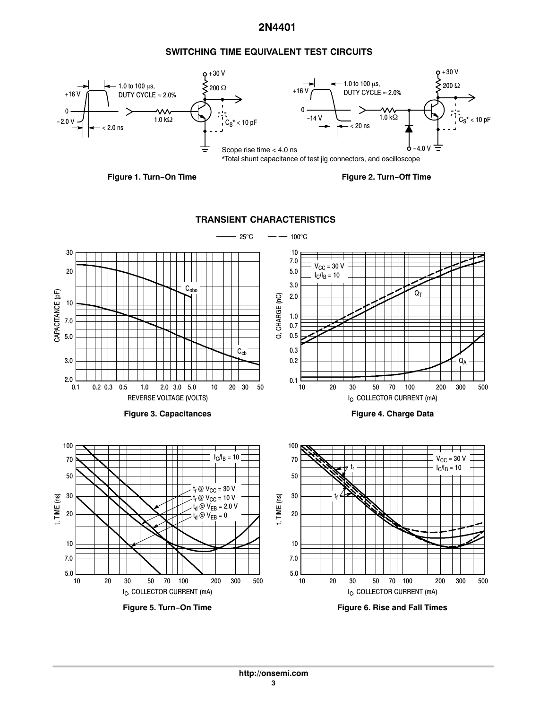#### **SWITCHING TIME EQUIVALENT TEST CIRCUITS**



**Figure 1. Turn−On Time Figure 2. Turn−Off Time**

**TRANSIENT CHARACTERISTICS**

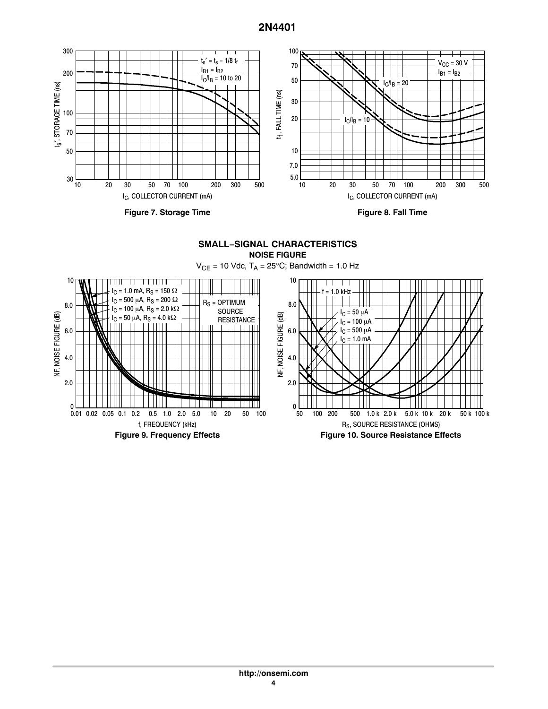

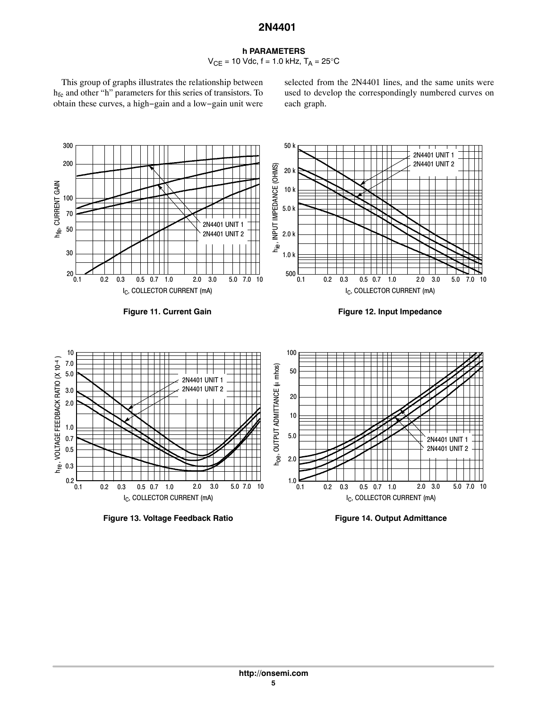#### **h PARAMETERS**  $V_{CE}$  = 10 Vdc, f = 1.0 kHz,  $T_A$  = 25°C

This group of graphs illustrates the relationship between hfe and other "h" parameters for this series of transistors. To obtain these curves, a high−gain and a low−gain unit were selected from the 2N4401 lines, and the same units were used to develop the correspondingly numbered curves on each graph.



**Figure 13. Voltage Feedback Ratio**

**Figure 14. Output Admittance**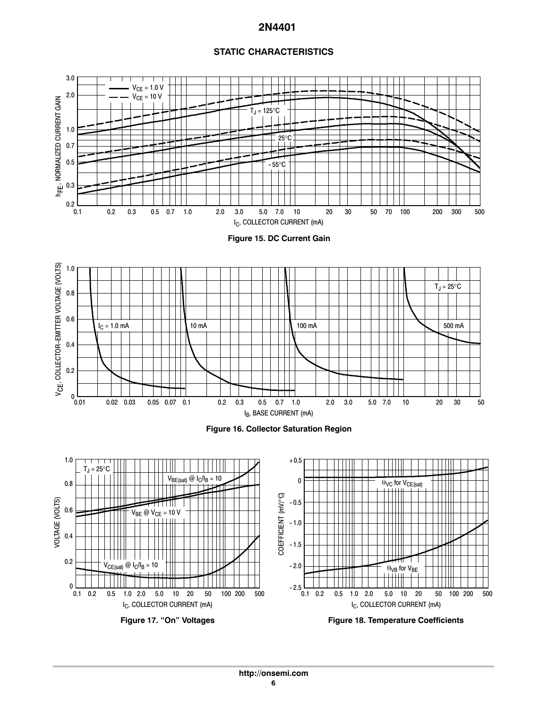